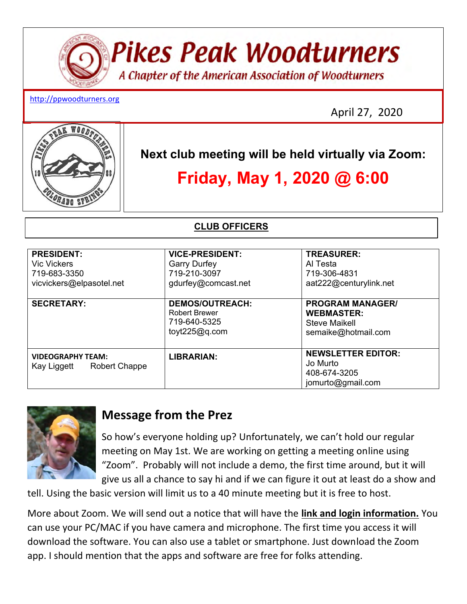# **Pikes Peak Woodturners** A Chapter of the American Association of Woodturners

#### http://ppwoodturners.org

April 27, 2020



**Next club meeting will be held virtually via Zoom:** 

# **Friday, May 1, 2020 @ 6:00**

**CLUB OFFICERS** 

| <b>PRESIDENT:</b><br><b>Vic Vickers</b><br>719-683-3350<br>vicvickers@elpasotel.net | <b>VICE-PRESIDENT:</b><br><b>Garry Durfey</b><br>719-210-3097<br>gdurfey@comcast.net | <b>TREASURER:</b><br>Al Testa<br>719-306-4831<br>aat222@centurylink.net                     |
|-------------------------------------------------------------------------------------|--------------------------------------------------------------------------------------|---------------------------------------------------------------------------------------------|
| <b>SECRETARY:</b>                                                                   | <b>DEMOS/OUTREACH:</b><br><b>Robert Brewer</b><br>719-640-5325<br>toyt $225@q.com$   | <b>PROGRAM MANAGER/</b><br><b>WEBMASTER:</b><br><b>Steve Maikell</b><br>semaike@hotmail.com |
| <b>VIDEOGRAPHY TEAM:</b><br>Kay Liggett<br><b>Robert Chappe</b>                     | LIBRARIAN:                                                                           | <b>NEWSLETTER EDITOR:</b><br>Jo Murto<br>408-674-3205<br>jomurto@gmail.com                  |



## **Message from the Prez**

So how's everyone holding up? Unfortunately, we can't hold our regular meeting on May 1st. We are working on getting a meeting online using "Zoom". Probably will not include a demo, the first time around, but it will give us all a chance to say hi and if we can figure it out at least do a show and

tell. Using the basic version will limit us to a 40 minute meeting but it is free to host.

More about Zoom. We will send out a notice that will have the **link and login information.** You can use your PC/MAC if you have camera and microphone. The first time you access it will download the software. You can also use a tablet or smartphone. Just download the Zoom app. I should mention that the apps and software are free for folks attending.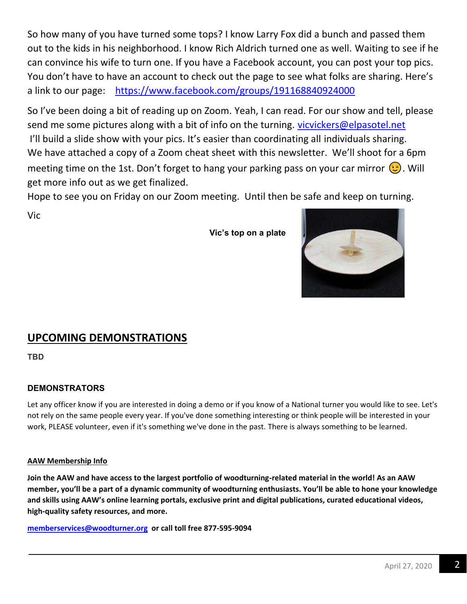So how many of you have turned some tops? I know Larry Fox did a bunch and passed them out to the kids in his neighborhood. I know Rich Aldrich turned one as well. Waiting to see if he can convince his wife to turn one. If you have a Facebook account, you can post your top pics. You don't have to have an account to check out the page to see what folks are sharing. Here's a link to our page: https://www.facebook.com/groups/191168840924000

So I've been doing a bit of reading up on Zoom. Yeah, I can read. For our show and tell, please send me some pictures along with a bit of info on the turning. vicvickers@elpasotel.net I'll build a slide show with your pics. It's easier than coordinating all individuals sharing. We have attached a copy of a Zoom cheat sheet with this newsletter. We'll shoot for a 6pm meeting time on the 1st. Don't forget to hang your parking pass on your car mirror  $\odot$ . Will get more info out as we get finalized.

Hope to see you on Friday on our Zoom meeting. Until then be safe and keep on turning.

Vic

 **Vic's top on a plate** 

### **UPCOMING DEMONSTRATIONS**

**TBD**

#### **DEMONSTRATORS**

Let any officer know if you are interested in doing a demo or if you know of a National turner you would like to see. Let's not rely on the same people every year. If you've done something interesting or think people will be interested in your work, PLEASE volunteer, even if it's something we've done in the past. There is always something to be learned.

#### **AAW Membership Info**

**Join the AAW and have access to the largest portfolio of woodturning-related material in the world! As an AAW member, you'll be a part of a dynamic community of woodturning enthusiasts. You'll be able to hone your knowledge and skills using AAW's online learning portals, exclusive print and digital publications, curated educational videos, high-quality safety resources, and more.** 

**memberservices@woodturner.org or call toll free 877-595-9094** 

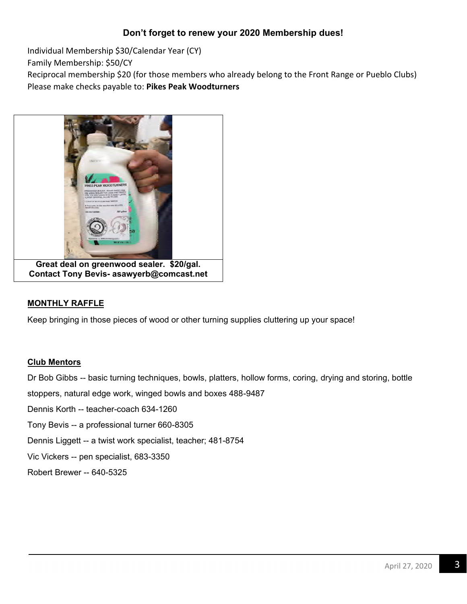#### **Don't forget to renew your 2020 Membership dues!**

Individual Membership \$30/Calendar Year (CY)

Family Membership: \$50/CY

Reciprocal membership \$20 (for those members who already belong to the Front Range or Pueblo Clubs) Please make checks payable to: **Pikes Peak Woodturners** 



#### **MONTHLY RAFFLE**

Keep bringing in those pieces of wood or other turning supplies cluttering up your space!

#### **Club Mentors**

Dr Bob Gibbs -- basic turning techniques, bowls, platters, hollow forms, coring, drying and storing, bottle

stoppers, natural edge work, winged bowls and boxes 488-9487

Dennis Korth -- teacher-coach 634-1260

Tony Bevis -- a professional turner 660-8305

Dennis Liggett -- a twist work specialist, teacher; 481-8754

Vic Vickers -- pen specialist, 683-3350

Robert Brewer -- 640-5325